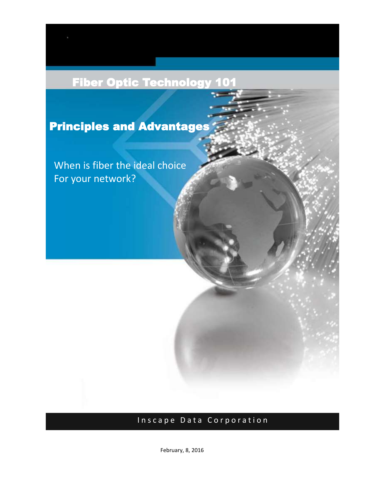# Fiber Optic Technology 101

Principles and Advantages

When is fiber the ideal choice For your network?

## Inscape Data Corporation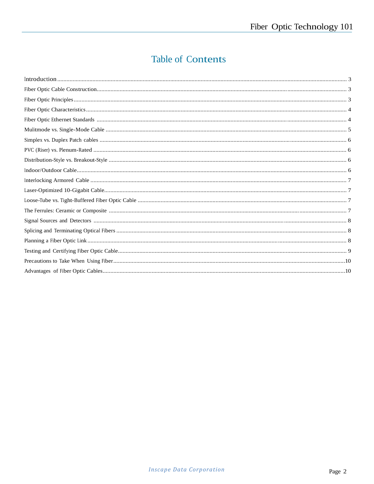## **Table of Contents**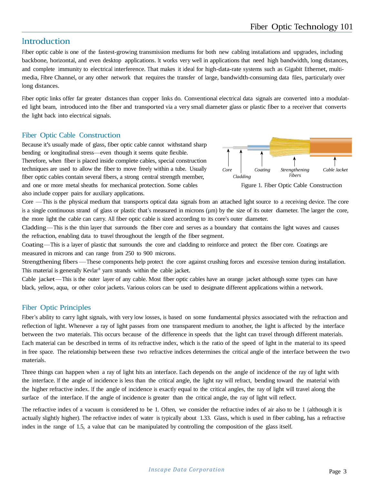## **Introduction**

Fiber optic cable is one of the fastest-growing transmission mediums for both new cabling installations and upgrades, including backbone, horizontal, and even desktop applications. It works very well in applications that need high bandwidth, long distances, and complete immunity to electrical interference. That makes it ideal for high-data-rate systems such as Gigabit Ethernet, multimedia, Fibre Channel, or any other network that requires the transfer of large, bandwidth-consuming data files, particularly over long distances.

Fiber optic links offer far greater distances than copper links do. Conventional electrical data signals are converted into a modulated light beam, introduced into the fiber and transported via a very small diameter glass or plastic fiber to a receiver that converts the light back into electrical signals.

### Fiber Optic Cable Construction

Because it's usually made of glass, fiber optic cable cannot withstand sharp bending or longitudinal stress—even though it seems quite flexible. Therefore, when fiber is placed inside complete cables, special construction techniques are used to allow the fiber to move freely within a tube. Usually fiber optic cables contain several fibers, a strong central strength member, and one or more metal sheaths for mechanical protection. Some cables Figure 1. Fiber Optic Cable Construction also include copper pairs for auxiliary applications.



Core —This is the physical medium that transports optical data signals from an attached light source to a receiving device. The core is a single continuous strand of glass or plastic that's measured in microns (µm) by the size of its outer diameter. The larger the core, the more light the cable can carry. All fiber optic cable is sized according to its core's outer diameter.

Cladding—This is the thin layer that surrounds the fiber core and serves as a boundary that contains the light waves and causes the refraction, enabling data to travel throughout the length of the fiber segment.

Coating—This is a layer of plastic that surrounds the core and cladding to reinforce and protect the fiber core. Coatings are measured in microns and can range from 250 to 900 microns.

Strengthening fibers —These components help protect the core against crushing forces and excessive tension during installation. This material is generally Kevlar ® yarn strands within the cable jacket.

Cable jacket—This is the outer layer of any cable. Most fiber optic cables have an orange jacket although some types can have black, yellow, aqua, or other color jackets. Various colors can be used to designate different applications within a network.

## Fiber Optic Principles

Fiber's ability to carry light signals, with very low losses, is based on some fundamental physics associated with the refraction and reflection of light. Whenever a ray of light passes from one transparent medium to another, the light is affected by the interface between the two materials. This occurs because of the difference in speeds that the light can travel through different materials. Each material can be described in terms of its refractive index, which is the ratio of the speed of light in the material to its speed in free space. The relationship between these two refractive indices determines the critical angle of the interface between the two materials.

Three things can happen when a ray of light hits an interface. Each depends on the angle of incidence of the ray of light with the interface. If the angle of incidence is less than the critical angle, the light ray will refract, bending toward the material with the higher refractive index. If the angle of incidence is exactly equal to the critical angles, the ray of light will travel along the surface of the interface. If the angle of incidence is greater than the critical angle, the ray of light will reflect.

The refractive index of a vacuum is considered to be 1. Often, we consider the refractive index of air also to be 1 (although it is actually slightly higher). The refractive index of water is typically about 1.33. Glass, which is used in fiber cabling, has a refractive index in the range of 1.5, a value that can be manipulated by controlling the composition of the glass itself.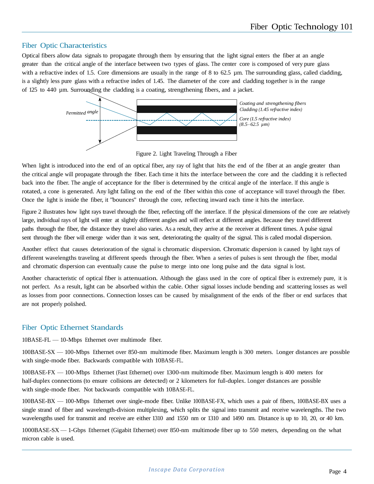#### Fiber Optic Characteristics

Optical fibers allow data signals to propagate through them by ensuring that the light signal enters the fiber at an angle greater than the critical angle of the interface between two types of glass. The center core is composed of very pure glass with a refractive index of 1.5. Core dimensions are usually in the range of 8 to 62.5 µm. The surrounding glass, called cladding, is a slightly less pure glass with a refractive index of 1.45. The diameter of the core and cladding together is in the range of 125 to 440 µm. Surrounding the cladding is a coating, strengthening fibers, and a jacket.



Figure 2. Light Traveling Through a Fiber

When light is introduced into the end of an optical fiber, any ray of light that hits the end of the fiber at an angle greater than the critical angle will propagate through the fiber. Each time it hits the interface between the core and the cladding it is reflected back into the fiber. The angle of acceptance for the fiber is determined by the critical angle of the interface. If this angle is rotated, a cone is generated. Any light falling on the end of the fiber within this cone of acceptance will travel through the fiber. Once the light is inside the fiber, it "bounces" through the core, reflecting inward each time it hits the interface.

Figure 2 illustrates how light rays travel through the fiber, reflecting off the interface. If the physical dimensions of the core are relatively large, individual rays of light will enter at slightly different angles and will reflect at different angles. Because they travel different paths through the fiber, the distance they travel also varies. As a result, they arrive at the receiver at different times. A pulse signal sent through the fiber will emerge wider than it was sent, deteriorating the quality of the signal. This is called modal dispersion.

Another effect that causes deterioration of the signal is chromatic dispersion. Chromatic dispersion is caused by light rays of different wavelengths traveling at different speeds through the fiber. When a series of pulses is sent through the fiber, modal and chromatic dispersion can eventually cause the pulse to merge into one long pulse and the data signal is lost.

Another characteristic of optical fiber is attenuation. Although the glass used in the core of optical fiber is extremely pure, it is not perfect. As a result, light can be absorbed within the cable. Other signal losses include bending and scattering losses as well as losses from poor connections. Connection losses can be caused by misalignment of the ends of the fiber or end surfaces that are not properly polished.

## Fiber Optic Ethernet Standards

10BASE-FL — 10-Mbps Ethernet over multimode fiber.

100BASE-SX — 100-Mbps Ethernet over 850-nm multimode fiber. Maximum length is 300 meters. Longer distances are possible with single-mode fiber. Backwards compatible with 10BASE-FL.

100BASE-FX — 100-Mbps Ethernet (Fast Ethernet) over 1300-nm multimode fiber. Maximum length is 400 meters for half-duplex connections (to ensure collisions are detected) or 2 kilometers for full-duplex. Longer distances are possible with single-mode fiber. Not backwards compatible with 10BASE-FL.

100BASE-BX — 100-Mbps Ethernet over single-mode fiber. Unlike 100BASE-FX, which uses a pair of fibers, 100BASE-BX uses a single strand of fiber and wavelength-division multiplexing, which splits the signal into transmit and receive wavelengths. The two wavelengths used for transmit and receive are either 1310 and 1550 nm or 1310 and 1490 nm. Distance is up to 10, 20, or 40 km.

1000BASE-SX — 1-Gbps Ethernet (Gigabit Ethernet) over 850-nm multimode fiber up to 550 meters, depending on the what micron cable is used.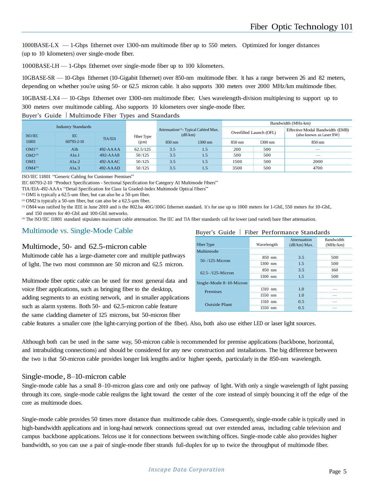1000BASE-LX — 1-Gbps Ethernet over 1300-nm multimode fiber up to 550 meters. Optimized for longer distances (up to 10 kilometers) over single-mode fiber.

1000BASE-LH — 1-Gbps Ethernet over single-mode fiber up to 100 kilometers.

10GBASE-SR — 10-Gbps Ethernet (10-Gigabit Ethernet) over 850-nm multimode fiber. It has a range between 26 and 82 meters, depending on whether you're using 50- or 62.5 micron cable. It also supports 300 meters over 2000 MHz/km multimode fiber.

10GBASE-LX4 — 10-Gbps Ethernet over 1300-nm multimode fiber. Uses wavelength-division multiplexing to support up to 300 meters over multimode cabling. Also supports 10 kilometers over single-mode fiber.

#### Buyer's Guide | Multimode Fiber Types and Standards

|                                                    |            |               |                                                             |                  | Bandwidth (MHz-km)      |        |                                                             |        |
|----------------------------------------------------|------------|---------------|-------------------------------------------------------------|------------------|-------------------------|--------|-------------------------------------------------------------|--------|
| <b>Industry Standards</b><br>ISO/IEC<br><b>IEC</b> |            | Fiber Type    | Attenuation <sup>(4)</sup> - Typical Cabled Max.<br>(dB/km) |                  | Overfilled Launch (OFL) |        | Effective Modal Bandwidth (EMB)<br>(also known as Laser BW) |        |
| 11801                                              | 60793-2-10 | TIA/EIA       | $(\mu m)$                                                   | $850 \text{ nm}$ | 1300 nm                 | 850 nm | 1300 nm                                                     | 850 nm |
| $OM1^{(1)}$                                        | Alb        | $492 - AAAAA$ | 62.5/125                                                    | 3.5              | 1.5                     | 200    | 500                                                         | __     |
| $OM2^{(2)}$                                        | A1a.1      | $492 - AAAAB$ | 50/125                                                      | 3.5              | 1.5                     | 500    | 500                                                         | $-$    |
| OM <sub>3</sub>                                    | A1a.2      | $492$ -AAAC   | 50/125                                                      | 3.5              | 1.5                     | 1500   | 500                                                         | 2000   |
| $OM4^{(3)}$                                        | A1a.3      | $492$ -AAAD   | 50/125                                                      | 3.5              | 1.5                     | 3500   | 500                                                         | 4700   |

ISO/IEC 11801 "Generic Cabling for Customer Premises"

IEC 60793-2-10 "Product Specifications - Sectional Specification for Category A1 Multimode Fibers"

TIA/EIA-492-AAAx "Detail Specification for Class 1a Graded-Index Multimode Optical Fibers"

(1) OM1 is typically a 62.5-um fiber, but can also be a 50-µm fiber.

(2) OM2 is typically a 50-um fiber, but can also be a  $62.5$ -µm fiber.

<sup>(3)</sup> OM4 was ratified by the IEEE in June 2010 and is the 802.ba 40G/100G Ethernet standard. It's for use up to 1000 meters for 1-GbE, 550 meters for 10-GbE, and 150 meters for 40-GbE and 100-GbE networks.

(4) The ISO/IEC 11801 standard stipulates maximum cable attenuation. The IEC and TIA fiber standards call for lower (and varied) bare fiber attenuation.

#### Multimode vs. Single-Mode Cable

#### Multimode, 50- and 62.5-micron cable

Multimode cable has a large-diameter core and multiple pathways of light. The two most commnon are 50 micron and 62.5 micron.

Multimode fiber optic cable can be used for most general data and voice fiber applications, such as bringing fiber to the desktop, adding segments to an existing network, and in smaller applications such as alarm systems. Both 50- and 62.5-micron cable feature the same cladding diameter of 125 microns, but 50-micron fiber

#### Buyer's Guide | Fiber Performance Standards

| Fiber Type              | Wavelength | Attenuation<br>$(dB/km)$ Max. | Bandwidth<br>(MHz/km) |
|-------------------------|------------|-------------------------------|-----------------------|
| Multimode               |            |                               |                       |
| 50-/125-Micron          | 850 nm     | 35                            | 500                   |
|                         | 1300 nm    | 15                            | 500                   |
| $62.5 - 125$ -Micron    | 850 nm     | 35                            | 160                   |
|                         | $1300$ nm  | 1.5                           | 500                   |
| Single-Mode 8–10-Micron |            |                               |                       |
| Premises                | 1310 nm    |                               |                       |
|                         | $1550$ nm  |                               |                       |
| <b>Outside Plant</b>    | $1310$ nm  | 0.5                           |                       |
|                         | $1550$ nm  | 0.5                           |                       |

cable features a smaller core (the light-carrying portion of the fiber). Also, both also use either LED or laser light sources.

Although both can be used in the same way, 50-micron cable is recommended for premise applications (backbone, horizontal, and intrabuilding connections) and should be considered for any new construction and installations. The big difference between the two is that 50-micron cable provides longer link lengths and/or higher speeds, particularly in the 850-nm wavelength.

#### Single-mode, 8–10-micron cable

Single-mode cable has a small 8–10-micron glass core and only one pathway of light. With only a single wavelength of light passing through its core, single-mode cable realigns the light toward the center of the core instead of simply bouncing it off the edge of the core as multimode does.

Single-mode cable provides 50 times more distance than multimode cable does. Consequently, single-mode cable is typically used in high-bandwidth applications and in long-haul network connections spread out over extended areas, including cable television and campus backbone applications. Telcos use it for connections between switching offices. Single-mode cable also provides higher bandwidth, so you can use a pair of single-mode fiber strands full-duplex for up to twice the throughput of multimode fiber.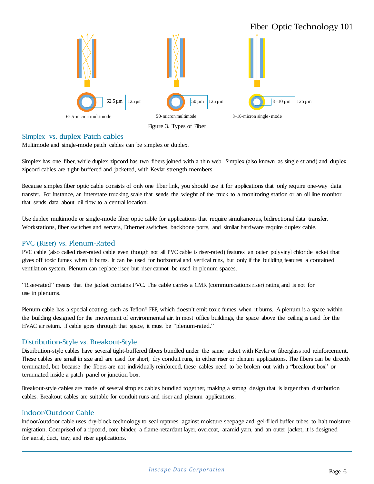

#### Simplex vs. duplex Patch cables

Multimode and single-mode patch cables can be simplex or duplex.

Simplex has one fiber, while duplex zipcord has two fibers joined with a thin web. Simplex (also known as single strand) and duplex zipcord cables are tight-buffered and jacketed, with Kevlar strength members.

Because simplex fiber optic cable consists of only one fiber link, you should use it for applications that only require one-way data transfer. For instance, an interstate trucking scale that sends the wieght of the truck to a monitoring station or an oil line monitor that sends data about oil flow to a central location.

Use duplex multimode or single-mode fiber optic cable for applications that require simultaneous, bidirectional data transfer. Workstations, fiber switches and servers, Ethernet switches, backbone ports, and similar hardware require duplex cable.

#### PVC (Riser) vs. Plenum-Rated

PVC cable (also called riser-rated cable even though not all PVC cable is riser-rated) features an outer polyvinyl chloride jacket that gives off toxic fumes when it burns. It can be used for horizontal and vertical runs, but only if the building features a contained ventilation system. Plenum can replace riser, but riser cannot be used in plenum spaces.

"Riser-rated" means that the jacket contains PVC. The cable carries a CMR (communications riser) rating and is not for use in plenums.

Plenum cable has a special coating, such as Teflon® FEP, which doesn't emit toxic fumes when it burns. A plenum is a space within the building designed for the movement of environmental air. In most office buildings, the space above the ceiling is used for the HVAC air return. If cable goes through that space, it must be "plenum-rated."

#### Distribution-Style vs. Breakout-Style

Distribution-style cables have several tight-buffered fibers bundled under the same jacket with Kevlar or fiberglass rod reinforcement. These cables are small in size and are used for short, dry conduit runs, in either riser or plenum applications. The fibers can be directly terminated, but because the fibers are not individually reinforced, these cables need to be broken out with a "breakout box" or terminated inside a patch panel or junction box.

Breakout-style cables are made of several simplex cables bundled together, making a strong design that is larger than distribution cables. Breakout cables are suitable for conduit runs and riser and plenum applications.

#### Indoor/Outdoor Cable

Indoor/outdoor cable uses dry-block technology to seal ruptures against moisture seepage and gel-filled buffer tubes to halt moisture migration. Comprised of a ripcord, core binder, a flame-retardant layer, overcoat, aramid yarn, and an outer jacket, it is designed for aerial, duct, tray, and riser applications.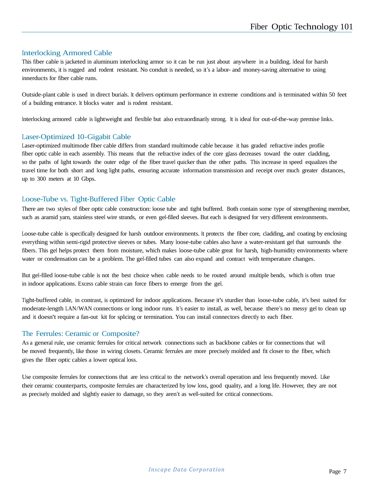#### Interlocking Armored Cable

This fiber cable is jacketed in aluminum interlocking armor so it can be run just about anywhere in a building. Ideal for harsh environments, it is rugged and rodent resistant. No conduit is needed, so it's a labor- and money-saving alternative to using innerducts for fiber cable runs.

Outside-plant cable is used in direct burials. It delivers optimum performance in extreme conditions and is terminated within 50 feet of a building entrance. It blocks water and is rodent resistant.

Interlocking armored cable is lightweight and flexible but also extraordinarily strong. It is ideal for out-of-the-way premise links.

#### Laser-Optimized 10-Gigabit Cable

Laser-optimized multimode fiber cable differs from standard multimode cable because it has graded refractive index profile fiber optic cable in each assembly. This means that the refractive index of the core glass decreases toward the outer cladding, so the paths of light towards the outer edge of the fiber travel quicker than the other paths. This increase in speed equalizes the travel time for both short and long light paths, ensuring accurate information transmission and receipt over much greater distances, up to 300 meters at 10 Gbps.

#### Loose-Tube vs. Tight-Buffered Fiber Optic Cable

There are two styles of fiber optic cable construction: loose tube and tight buffered. Both contain some type of strengthening member, such as aramid yarn, stainless steel wire strands, or even gel-filled sleeves. But each is designed for very different environments.

Loose-tube cable is specifically designed for harsh outdoor environments. It protects the fiber core, cladding, and coating by enclosing everything within semi-rigid protective sleeves or tubes. Many loose-tube cables also have a water-resistant gel that surrounds the fibers. This gel helps protect them from moisture, which makes loose-tube cable great for harsh, high-humidity environments where water or condensation can be a problem. The gel-filled tubes can also expand and contract with temperature changes.

But gel-filled loose-tube cable is not the best choice when cable needs to be routed around multiple bends, which is often true in indoor applications. Excess cable strain can force fibers to emerge from the gel.

Tight-buffered cable, in contrast, is optimized for indoor applications. Because it's sturdier than loose-tube cable, it's best suited for moderate-length LAN/WAN connections or long indoor runs. It's easier to install, as well, because there's no messy gel to clean up and it doesn't require a fan-out kit for splicing or termination. You can install connectors directly to each fiber.

#### The Ferrules: Ceramic or Composite?

As a general rule, use ceramic ferrules for critical network connections such as backbone cables or for connections that will be moved frequently, like those in wiring closets. Ceramic ferrules are more precisely molded and fit closer to the fiber, which gives the fiber optic cables a lower optical loss.

Use composite ferrules for connections that are less critical to the network's overall operation and less frequently moved. Like their ceramic counterparts, composite ferrules are characterized by low loss, good quality, and a long life. However, they are not as precisely molded and slightly easier to damage, so they aren't as well-suited for critical connections.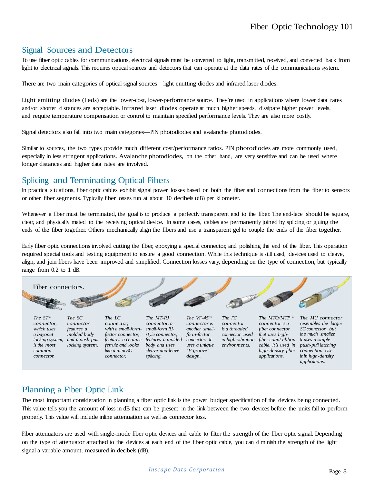## Signal Sources and Detectors

To use fiber optic cables for communications, electrical signals must be converted to light, transmitted, received, and converted back from light to electrical signals. This requires optical sources and detectors that can operate at the data rates of the communications system.

There are two main categories of optical signal sources—light emitting diodes and infrared laser diodes.

Light emitting diodes (Leds) are the lower-cost, lower-performance source. They're used in applications where lower data rates and/or shorter distances are acceptable. Infrared laser diodes operate at much higher speeds, dissipate higher power levels, and require temperature compensation or control to maintain specified performance levels. They are also more costly.

Signal detectors also fall into two main categories—PIN photodiodes and avalanche photodiodes.

Similar to sources, the two types provide much different cost/performance ratios. PIN photodiodes are more commonly used, especially in less stringent applications. Avalanche photodiodes, on the other hand, are very sensitive and can be used where longer distances and higher data rates are involved.

## Splicing and Terminating Optical Fibers

In practical situations, fiber optic cables exhibit signal power losses based on both the fiber and connections from the fiber to sensors or other fiber segments. Typically fiber losses run at about 10 decibels (dB) per kilometer.

Whenever a fiber must be terminated, the goal is to produce a perfectly transparent end to the fiber. The end-face should be square, clear, and physically mated to the receiving optical device. In some cases, cables are permanently joined by splicing or gluing the ends of the fiber together. Others mechanically align the fibers and use a transparent gel to couple the ends of the fiber together.

Early fiber optic connections involved cutting the fiber, epoxying a special connector, and polishing the end of the fiber. This operation required special tools and testing equipment to ensure a good connection. While this technique is still used, devices used to cleave, align, and join fibers have been improved and simplified. Connection losses vary, depending on the type of connection, but typically range from 0.2 to 1 dB.



*design.*

*applications.*

## Planning a Fiber Optic Link

*connector.*

*splicing.*

*connector.*

The most important consideration in planning a fiber optic link is the power budget specification of the devices being connected. This value tells you the amount of loss in dB that can be present in the link between the two devices before the units fail to perform properly. This value will include inline attenuation as well as connector loss.

Fiber attenuators are used with single-mode fiber optic devices and cable to filter the strength of the fiber optic signal. Depending on the type of attenuator attached to the devices at each end of the fiber optic cable, you can diminish the strength of the light signal a variable amount, measured in decibels (dB).

*it in high-density applications.*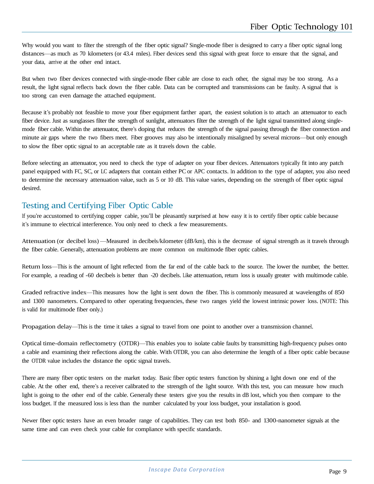Why would you want to filter the strength of the fiber optic signal? Single-mode fiber is designed to carry a fiber optic signal long distances—as much as 70 kilometers (or 43.4 miles). Fiber devices send this signal with great force to ensure that the signal, and your data, arrive at the other end intact.

But when two fiber devices connected with single-mode fiber cable are close to each other, the signal may be too strong. As a result, the light signal reflects back down the fiber cable. Data can be corrupted and transmissions can be faulty. A signal that is too strong can even damage the attached equipment.

Because it's probably not feasible to move your fiber equipment farther apart, the easiest solution is to attach an attenuator to each fiber device. Just as sunglasses filter the strength of sunlight, attenuators filter the strength of the light signal transmitted along singlemode fiber cable. Within the attenuator, there's doping that reduces the strength of the signal passing through the fiber connection and minute air gaps where the two fibers meet. Fiber grooves may also be intentionally misaligned by several microns—but only enough to slow the fiber optic signal to an acceptable rate as it travels down the cable.

Before selecting an attenuator, you need to check the type of adapter on your fiber devices. Attenuators typically fit into any patch panel equipped with FC, SC, or LC adapters that contain either PC or APC contacts. In addition to the type of adapter, you also need to determine the necessary attenuation value, such as 5 or 10 dB. This value varies, depending on the strength of fiber optic signal desired.

## Testing and Certifying Fiber Optic Cable

If you're accustomed to certifying copper cable, you'll be pleasantly surprised at how easy it is to certify fiber optic cable because it's immune to electrical interference. You only need to check a few measurements.

Attenuation (or decibel loss) —Measured in decibels/kilometer (dB/km), this is the decrease of signal strength as it travels through the fiber cable. Generally, attenuation problems are more common on multimode fiber optic cables.

Return loss—This is the amount of light reflected from the far end of the cable back to the source. The lower the number, the better. For example, a reading of -60 decibels is better than -20 decibels. Like attenuation, return loss is usually greater with multimode cable.

Graded refractive index—This measures how the light is sent down the fiber. This is commonly measured at wavelengths of 850 and 1300 nanometers. Compared to other operating frequencies, these two ranges yield the lowest intrinsic power loss. (NOTE: This is valid for multimode fiber only.)

Propagation delay—This is the time it takes a signal to travel from one point to another over a transmission channel.

Optical time-domain reflectometry (OTDR)—This enables you to isolate cable faults by transmitting high-frequency pulses onto a cable and examining their reflections along the cable. With OTDR, you can also determine the length of a fiber optic cable because the OTDR value includes the distance the optic signal travels.

There are many fiber optic testers on the market today. Basic fiber optic testers function by shining a light down one end of the cable. At the other end, there's a receiver calibrated to the strength of the light source. With this test, you can measure how much light is going to the other end of the cable. Generally these testers give you the results in dB lost, which you then compare to the loss budget. If the measured loss is less than the number calculated by your loss budget, your installation is good.

Newer fiber optic testers have an even broader range of capabilities. They can test both 850- and 1300-nanometer signals at the same time and can even check your cable for compliance with specific standards.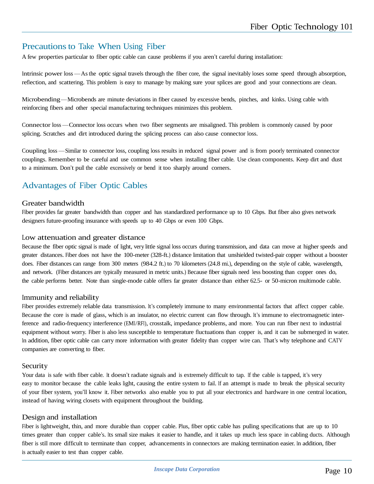## Precautions to Take When Using Fiber

A few properties particular to fiber optic cable can cause problems if you aren't careful during installation:

Intrinsic power loss —Asthe optic signal travels through the fiber core, the signal inevitably loses some speed through absorption, reflection, and scattering. This problem is easy to manage by making sure your splices are good and your connections are clean.

Microbending—Microbends are minute deviations in fiber caused by excessive bends, pinches, and kinks. Using cable with reinforcing fibers and other special manufacturing techniques minimizes this problem.

Connector loss —Connector loss occurs when two fiber segments are misaligned. This problem is commonly caused by poor splicing. Scratches and dirt introduced during the splicing process can also cause connector loss.

Coupling loss —Similar to connector loss, coupling loss results in reduced signal power and is from poorly terminated connector couplings. Remember to be careful and use common sense when installing fiber cable. Use clean components. Keep dirt and dust to a minimum. Don't pull the cable excessively or bend it too sharply around corners.

## Advantages of Fiber Optic Cables

#### Greater bandwidth

Fiber provides far greater bandwidth than copper and has standardized performance up to 10 Gbps. But fiber also gives network designers future-proofing insurance with speeds up to 40 Gbps or even 100 Gbps.

#### Low attenuation and greater distance

Because the fiber optic signal is made of light, very little signal loss occurs during transmission, and data can move at higher speeds and greater distances. Fiber does not have the 100-meter (328-ft.) distance limitation that unshielded twisted-pair copper without a booster does. Fiber distances can range from 300 meters (984.2 ft.) to 70 kilometers (24.8 mi.), depending on the style of cable, wavelength, and network. (Fiber distances are typically measured in metric units.) Because fiber signals need less boosting than copper ones do, the cable performs better. Note than single-mode cable offers far greater distance than either 62.5- or 50-micron multimode cable.

#### Immunity and reliability

Fiber provides extremely reliable data transmission. It's completely immune to many environmental factors that affect copper cable. Because the core is made of glass, which is an insulator, no electric current can flow through. It's immune to electromagnetic interference and radio-frequency interference (EMI/RFI), crosstalk, impedance problems, and more. You can run fiber next to industrial equipment without worry. Fiber is also less susceptible to temperature fluctuations than copper is, and it can be submerged in water. In addition, fiber optic cable can carry more information with greater fidelity than copper wire can. That's why telephone and CATV companies are converting to fiber.

#### Security

Your data is safe with fiber cable. It doesn't radiate signals and is extremely difficult to tap. If the cable is tapped, it's very easy to monitor because the cable leaks light, causing the entire system to fail. If an attempt is made to break the physical security of your fiber system, you'll know it. Fiber networks also enable you to put all your electronics and hardware in one central location, instead of having wiring closets with equipment throughout the building.

#### Design and installation

Fiber is lightweight, thin, and more durable than copper cable. Plus, fiber optic cable has pulling specifications that are up to 10 times greater than copper cable's. Its small size makes it easier to handle, and it takes up much less space in cabling ducts. Although fiber is still more difficult to terminate than copper, advancements in connectors are making termination easier. In addition, fiber is actually easier to test than copper cable.